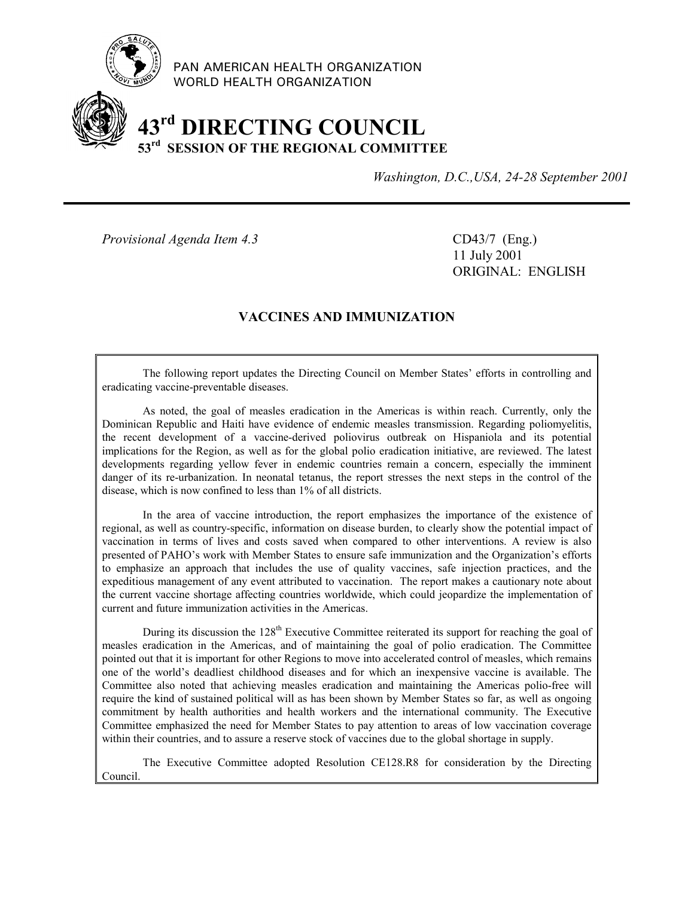

PAN AMERICAN HEALTH ORGANIZATION WORLD HEALTH ORGANIZATION

# **43rd DIRECTING COUNCIL 53rd SESSION OF THE REGIONAL COMMITTEE**

*Washington, D.C.,USA, 24-28 September 2001*

*Provisional Agenda Item 4.3* CD43/7 (Eng.)

11 July 2001 ORIGINAL: ENGLISH

# **VACCINES AND IMMUNIZATION**

The following report updates the Directing Council on Member States' efforts in controlling and eradicating vaccine-preventable diseases.

As noted, the goal of measles eradication in the Americas is within reach. Currently, only the Dominican Republic and Haiti have evidence of endemic measles transmission. Regarding poliomyelitis, the recent development of a vaccine-derived poliovirus outbreak on Hispaniola and its potential implications for the Region, as well as for the global polio eradication initiative, are reviewed. The latest developments regarding yellow fever in endemic countries remain a concern, especially the imminent danger of its re-urbanization. In neonatal tetanus, the report stresses the next steps in the control of the disease, which is now confined to less than 1% of all districts.

In the area of vaccine introduction, the report emphasizes the importance of the existence of regional, as well as country-specific, information on disease burden, to clearly show the potential impact of vaccination in terms of lives and costs saved when compared to other interventions. A review is also presented of PAHO's work with Member States to ensure safe immunization and the Organization's efforts to emphasize an approach that includes the use of quality vaccines, safe injection practices, and the expeditious management of any event attributed to vaccination. The report makes a cautionary note about the current vaccine shortage affecting countries worldwide, which could jeopardize the implementation of current and future immunization activities in the Americas.

During its discussion the 128<sup>th</sup> Executive Committee reiterated its support for reaching the goal of measles eradication in the Americas, and of maintaining the goal of polio eradication. The Committee pointed out that it is important for other Regions to move into accelerated control of measles, which remains one of the world's deadliest childhood diseases and for which an inexpensive vaccine is available. The Committee also noted that achieving measles eradication and maintaining the Americas polio-free will require the kind of sustained political will as has been shown by Member States so far, as well as ongoing commitment by health authorities and health workers and the international community. The Executive Committee emphasized the need for Member States to pay attention to areas of low vaccination coverage within their countries, and to assure a reserve stock of vaccines due to the global shortage in supply.

The Executive Committee adopted Resolution CE128.R8 for consideration by the Directing Council.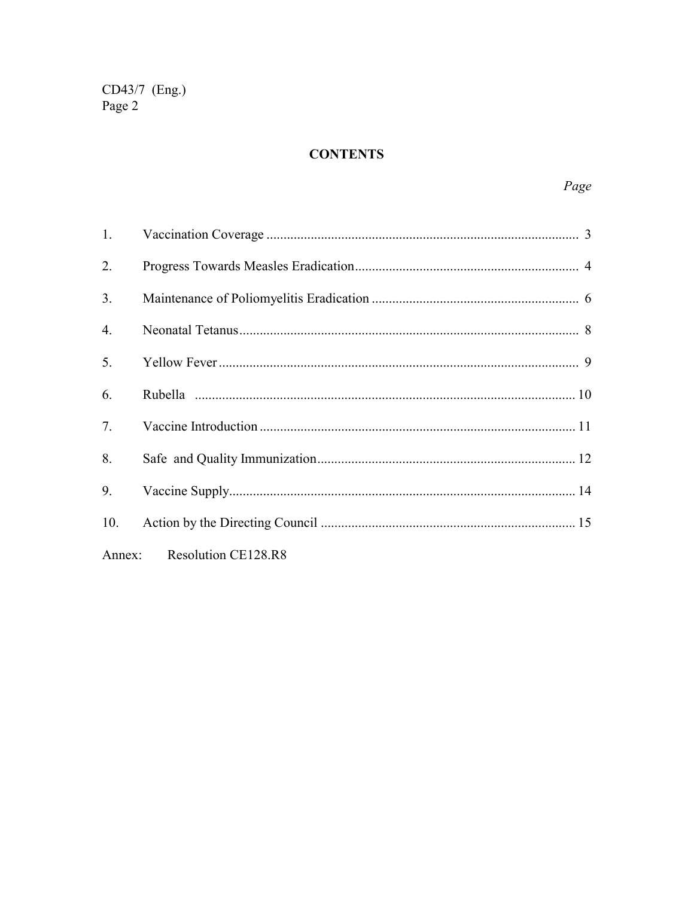# **CONTENTS**

| $1_{\cdot}$    |                     |  |
|----------------|---------------------|--|
| 2.             |                     |  |
| 3 <sub>1</sub> |                     |  |
| 4.             |                     |  |
| 5.             |                     |  |
| 6.             |                     |  |
| 7.             |                     |  |
| 8.             |                     |  |
| 9.             |                     |  |
| 10.            |                     |  |
| Annex:         | Resolution CE128.R8 |  |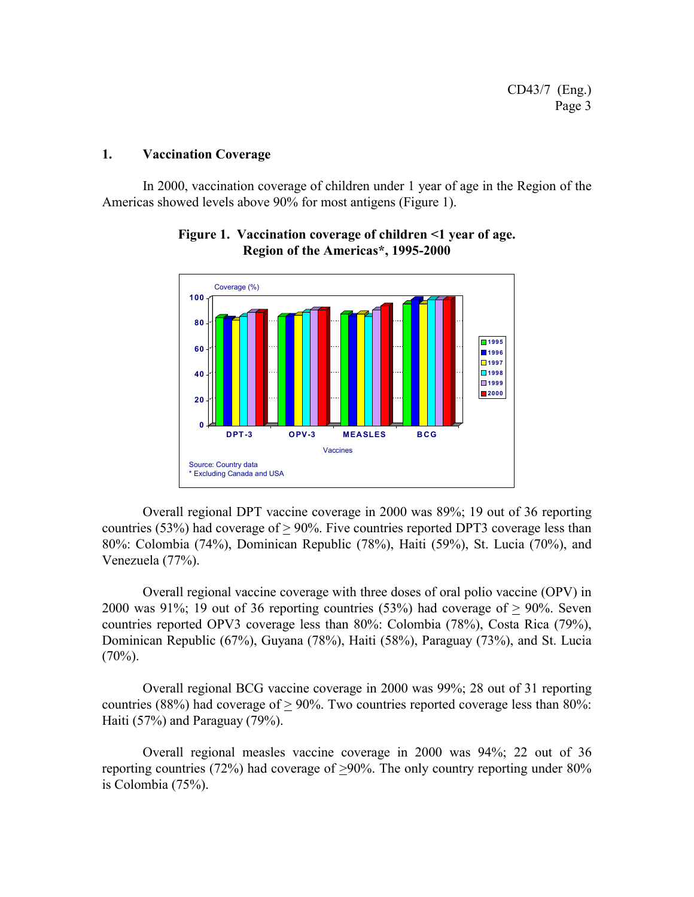#### **1. Vaccination Coverage**

In 2000, vaccination coverage of children under 1 year of age in the Region of the Americas showed levels above 90% for most antigens (Figure 1).



#### **Figure 1. Vaccination coverage of children <1 year of age. Region of the Americas\*, 1995-2000**

Overall regional DPT vaccine coverage in 2000 was 89%; 19 out of 36 reporting countries (53%) had coverage of  $> 90\%$ . Five countries reported DPT3 coverage less than 80%: Colombia (74%), Dominican Republic (78%), Haiti (59%), St. Lucia (70%), and Venezuela (77%).

Overall regional vaccine coverage with three doses of oral polio vaccine (OPV) in 2000 was  $91\%$ ; 19 out of 36 reporting countries (53%) had coverage of  $> 90\%$ . Seven countries reported OPV3 coverage less than 80%: Colombia (78%), Costa Rica (79%), Dominican Republic (67%), Guyana (78%), Haiti (58%), Paraguay (73%), and St. Lucia  $(70\%)$ .

Overall regional BCG vaccine coverage in 2000 was 99%; 28 out of 31 reporting countries (88%) had coverage of > 90%. Two countries reported coverage less than 80%: Haiti (57%) and Paraguay (79%).

Overall regional measles vaccine coverage in 2000 was 94%; 22 out of 36 reporting countries (72%) had coverage of >90%. The only country reporting under 80% is Colombia (75%).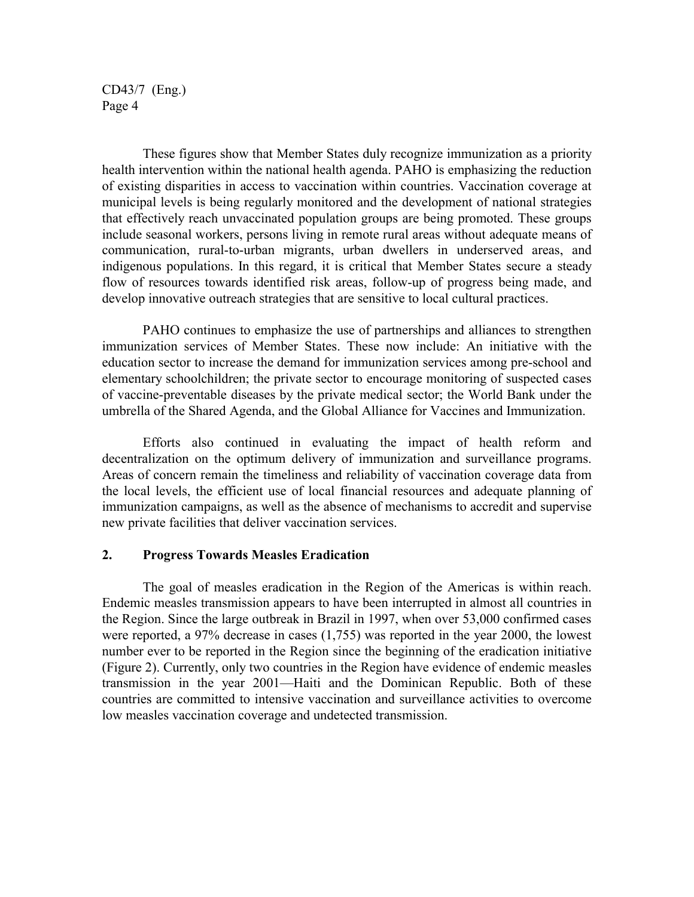These figures show that Member States duly recognize immunization as a priority health intervention within the national health agenda. PAHO is emphasizing the reduction of existing disparities in access to vaccination within countries. Vaccination coverage at municipal levels is being regularly monitored and the development of national strategies that effectively reach unvaccinated population groups are being promoted. These groups include seasonal workers, persons living in remote rural areas without adequate means of communication, rural-to-urban migrants, urban dwellers in underserved areas, and indigenous populations. In this regard, it is critical that Member States secure a steady flow of resources towards identified risk areas, follow-up of progress being made, and develop innovative outreach strategies that are sensitive to local cultural practices.

PAHO continues to emphasize the use of partnerships and alliances to strengthen immunization services of Member States. These now include: An initiative with the education sector to increase the demand for immunization services among pre-school and elementary schoolchildren; the private sector to encourage monitoring of suspected cases of vaccine-preventable diseases by the private medical sector; the World Bank under the umbrella of the Shared Agenda, and the Global Alliance for Vaccines and Immunization.

Efforts also continued in evaluating the impact of health reform and decentralization on the optimum delivery of immunization and surveillance programs. Areas of concern remain the timeliness and reliability of vaccination coverage data from the local levels, the efficient use of local financial resources and adequate planning of immunization campaigns, as well as the absence of mechanisms to accredit and supervise new private facilities that deliver vaccination services.

#### **2. Progress Towards Measles Eradication**

The goal of measles eradication in the Region of the Americas is within reach. Endemic measles transmission appears to have been interrupted in almost all countries in the Region. Since the large outbreak in Brazil in 1997, when over 53,000 confirmed cases were reported, a 97% decrease in cases (1,755) was reported in the year 2000, the lowest number ever to be reported in the Region since the beginning of the eradication initiative (Figure 2). Currently, only two countries in the Region have evidence of endemic measles transmission in the year 2001—Haiti and the Dominican Republic. Both of these countries are committed to intensive vaccination and surveillance activities to overcome low measles vaccination coverage and undetected transmission.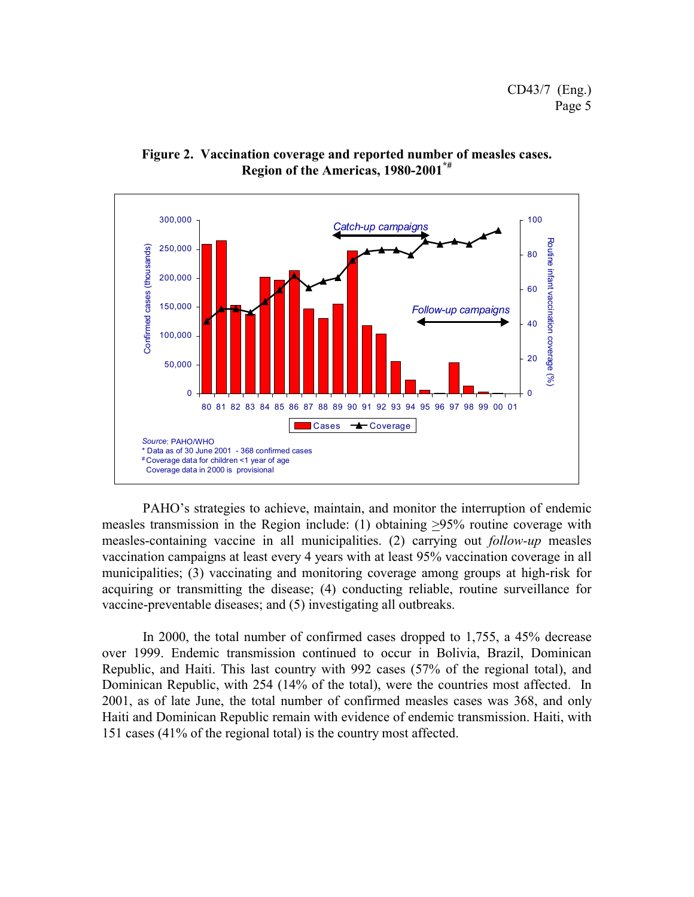

**Figure 2. Vaccination coverage and reported number of measles cases. Region of the Americas, 1980-2001\*#**

PAHO's strategies to achieve, maintain, and monitor the interruption of endemic measles transmission in the Region include: (1) obtaining >95% routine coverage with measles-containing vaccine in all municipalities. (2) carrying out *follow-up* measles vaccination campaigns at least every 4 years with at least 95% vaccination coverage in all municipalities; (3) vaccinating and monitoring coverage among groups at high-risk for acquiring or transmitting the disease; (4) conducting reliable, routine surveillance for vaccine-preventable diseases; and (5) investigating all outbreaks.

In 2000, the total number of confirmed cases dropped to 1,755, a 45% decrease over 1999. Endemic transmission continued to occur in Bolivia, Brazil, Dominican Republic, and Haiti. This last country with 992 cases (57% of the regional total), and Dominican Republic, with 254 (14% of the total), were the countries most affected. In 2001, as of late June, the total number of confirmed measles cases was 368, and only Haiti and Dominican Republic remain with evidence of endemic transmission. Haiti, with 151 cases (41% of the regional total) is the country most affected.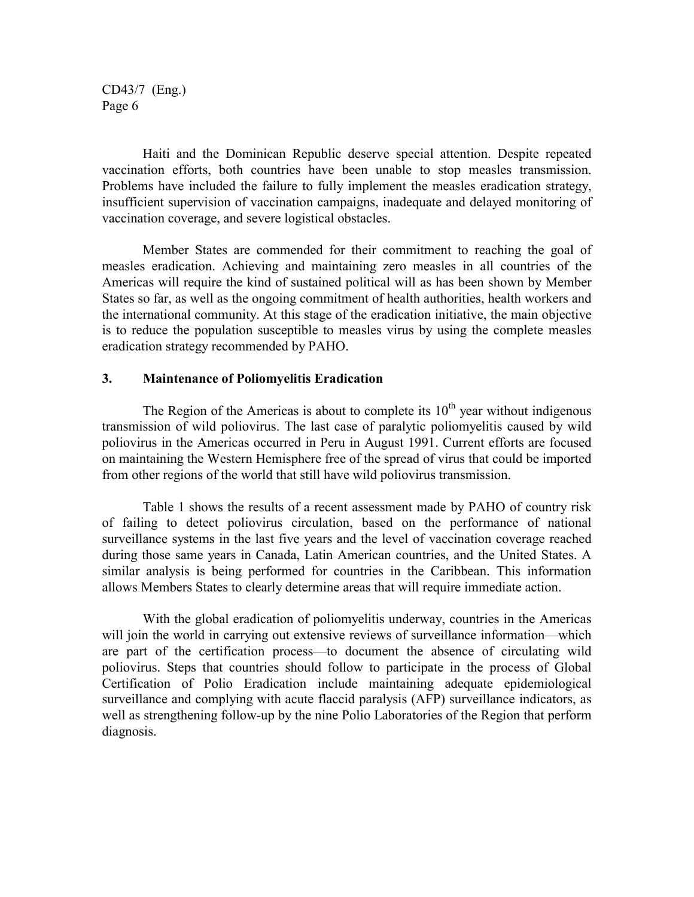Haiti and the Dominican Republic deserve special attention. Despite repeated vaccination efforts, both countries have been unable to stop measles transmission. Problems have included the failure to fully implement the measles eradication strategy, insufficient supervision of vaccination campaigns, inadequate and delayed monitoring of vaccination coverage, and severe logistical obstacles.

Member States are commended for their commitment to reaching the goal of measles eradication. Achieving and maintaining zero measles in all countries of the Americas will require the kind of sustained political will as has been shown by Member States so far, as well as the ongoing commitment of health authorities, health workers and the international community. At this stage of the eradication initiative, the main objective is to reduce the population susceptible to measles virus by using the complete measles eradication strategy recommended by PAHO.

#### **3. Maintenance of Poliomyelitis Eradication**

The Region of the Americas is about to complete its  $10<sup>th</sup>$  year without indigenous transmission of wild poliovirus. The last case of paralytic poliomyelitis caused by wild poliovirus in the Americas occurred in Peru in August 1991. Current efforts are focused on maintaining the Western Hemisphere free of the spread of virus that could be imported from other regions of the world that still have wild poliovirus transmission.

Table 1 shows the results of a recent assessment made by PAHO of country risk of failing to detect poliovirus circulation, based on the performance of national surveillance systems in the last five years and the level of vaccination coverage reached during those same years in Canada, Latin American countries, and the United States. A similar analysis is being performed for countries in the Caribbean. This information allows Members States to clearly determine areas that will require immediate action.

With the global eradication of poliomyelitis underway, countries in the Americas will join the world in carrying out extensive reviews of surveillance information—which are part of the certification process—to document the absence of circulating wild poliovirus. Steps that countries should follow to participate in the process of Global Certification of Polio Eradication include maintaining adequate epidemiological surveillance and complying with acute flaccid paralysis (AFP) surveillance indicators, as well as strengthening follow-up by the nine Polio Laboratories of the Region that perform diagnosis.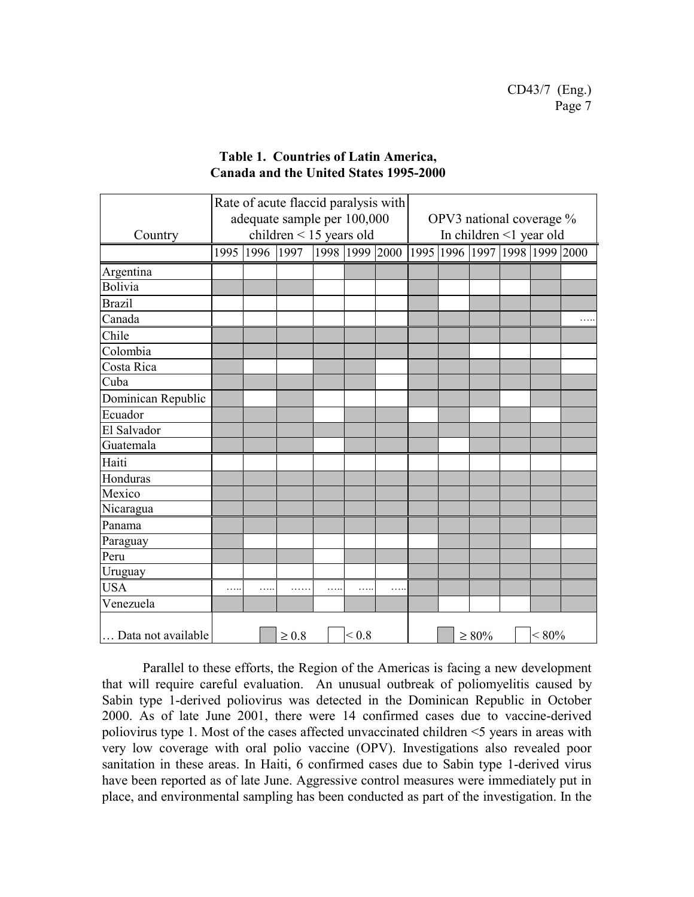|                    | Rate of acute flaccid paralysis with |      |            |  |            |                                                     |      |  |                          |  |          |  |
|--------------------|--------------------------------------|------|------------|--|------------|-----------------------------------------------------|------|--|--------------------------|--|----------|--|
|                    | adequate sample per 100,000          |      |            |  |            | OPV3 national coverage %<br>In children <1 year old |      |  |                          |  |          |  |
| Country            | children $\leq$ 15 years old         |      |            |  |            |                                                     |      |  |                          |  |          |  |
|                    | 1995                                 | 1996 | 1997       |  |            | 1998 1999 2000                                      | 1995 |  | 1996 1997 1998 1999 2000 |  |          |  |
| Argentina          |                                      |      |            |  |            |                                                     |      |  |                          |  |          |  |
| <b>Bolivia</b>     |                                      |      |            |  |            |                                                     |      |  |                          |  |          |  |
| <b>Brazil</b>      |                                      |      |            |  |            |                                                     |      |  |                          |  |          |  |
| Canada             |                                      |      |            |  |            |                                                     |      |  |                          |  |          |  |
| Chile              |                                      |      |            |  |            |                                                     |      |  |                          |  |          |  |
| Colombia           |                                      |      |            |  |            |                                                     |      |  |                          |  |          |  |
| Costa Rica         |                                      |      |            |  |            |                                                     |      |  |                          |  |          |  |
| Cuba               |                                      |      |            |  |            |                                                     |      |  |                          |  |          |  |
| Dominican Republic |                                      |      |            |  |            |                                                     |      |  |                          |  |          |  |
| Ecuador            |                                      |      |            |  |            |                                                     |      |  |                          |  |          |  |
| El Salvador        |                                      |      |            |  |            |                                                     |      |  |                          |  |          |  |
| Guatemala          |                                      |      |            |  |            |                                                     |      |  |                          |  |          |  |
| Haiti              |                                      |      |            |  |            |                                                     |      |  |                          |  |          |  |
| Honduras           |                                      |      |            |  |            |                                                     |      |  |                          |  |          |  |
| Mexico             |                                      |      |            |  |            |                                                     |      |  |                          |  |          |  |
| Nicaragua          |                                      |      |            |  |            |                                                     |      |  |                          |  |          |  |
| Panama             |                                      |      |            |  |            |                                                     |      |  |                          |  |          |  |
| Paraguay           |                                      |      |            |  |            |                                                     |      |  |                          |  |          |  |
| Peru               |                                      |      |            |  |            |                                                     |      |  |                          |  |          |  |
| Uruguay            |                                      |      |            |  |            |                                                     |      |  |                          |  |          |  |
| <b>USA</b>         | .                                    |      |            |  |            | .                                                   |      |  |                          |  |          |  |
| Venezuela          |                                      |      |            |  |            |                                                     |      |  |                          |  |          |  |
| Data not available |                                      |      | $\geq 0.8$ |  | ${}_{0.8}$ |                                                     |      |  | $\geq 80\%$              |  | $< 80\%$ |  |

### **Table 1. Countries of Latin America, Canada and the United States 1995-2000**

Parallel to these efforts, the Region of the Americas is facing a new development that will require careful evaluation. An unusual outbreak of poliomyelitis caused by Sabin type 1-derived poliovirus was detected in the Dominican Republic in October 2000. As of late June 2001, there were 14 confirmed cases due to vaccine-derived poliovirus type 1. Most of the cases affected unvaccinated children <5 years in areas with very low coverage with oral polio vaccine (OPV). Investigations also revealed poor sanitation in these areas. In Haiti, 6 confirmed cases due to Sabin type 1-derived virus have been reported as of late June. Aggressive control measures were immediately put in place, and environmental sampling has been conducted as part of the investigation. In the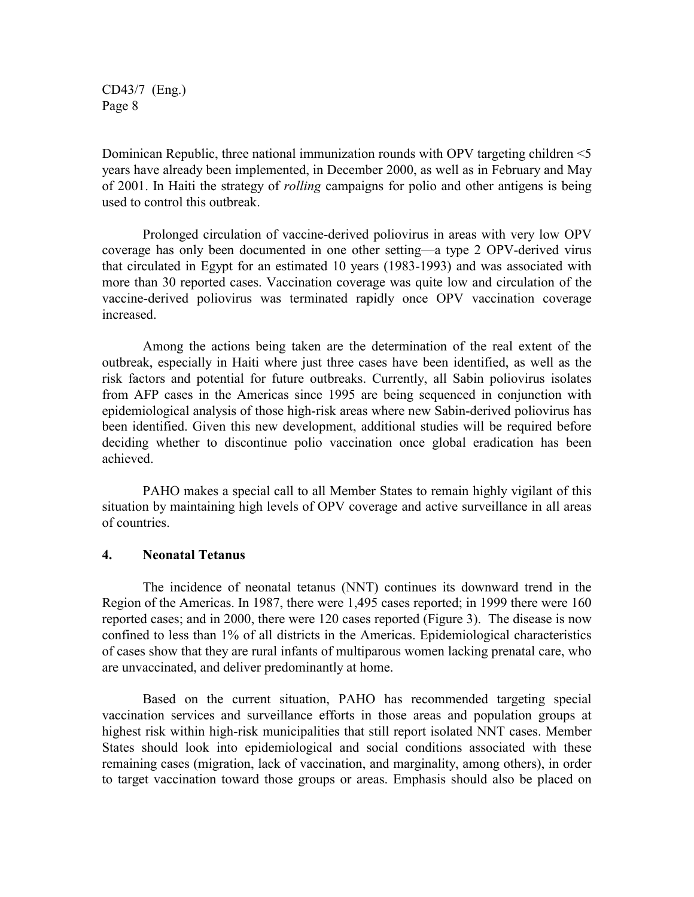Dominican Republic, three national immunization rounds with OPV targeting children <5 years have already been implemented, in December 2000, as well as in February and May of 2001. In Haiti the strategy of *rolling* campaigns for polio and other antigens is being used to control this outbreak.

Prolonged circulation of vaccine-derived poliovirus in areas with very low OPV coverage has only been documented in one other setting—a type 2 OPV-derived virus that circulated in Egypt for an estimated 10 years (1983-1993) and was associated with more than 30 reported cases. Vaccination coverage was quite low and circulation of the vaccine-derived poliovirus was terminated rapidly once OPV vaccination coverage increased.

Among the actions being taken are the determination of the real extent of the outbreak, especially in Haiti where just three cases have been identified, as well as the risk factors and potential for future outbreaks. Currently, all Sabin poliovirus isolates from AFP cases in the Americas since 1995 are being sequenced in conjunction with epidemiological analysis of those high-risk areas where new Sabin-derived poliovirus has been identified. Given this new development, additional studies will be required before deciding whether to discontinue polio vaccination once global eradication has been achieved.

PAHO makes a special call to all Member States to remain highly vigilant of this situation by maintaining high levels of OPV coverage and active surveillance in all areas of countries.

#### **4. Neonatal Tetanus**

The incidence of neonatal tetanus (NNT) continues its downward trend in the Region of the Americas. In 1987, there were 1,495 cases reported; in 1999 there were 160 reported cases; and in 2000, there were 120 cases reported (Figure 3). The disease is now confined to less than 1% of all districts in the Americas. Epidemiological characteristics of cases show that they are rural infants of multiparous women lacking prenatal care, who are unvaccinated, and deliver predominantly at home.

Based on the current situation, PAHO has recommended targeting special vaccination services and surveillance efforts in those areas and population groups at highest risk within high-risk municipalities that still report isolated NNT cases. Member States should look into epidemiological and social conditions associated with these remaining cases (migration, lack of vaccination, and marginality, among others), in order to target vaccination toward those groups or areas. Emphasis should also be placed on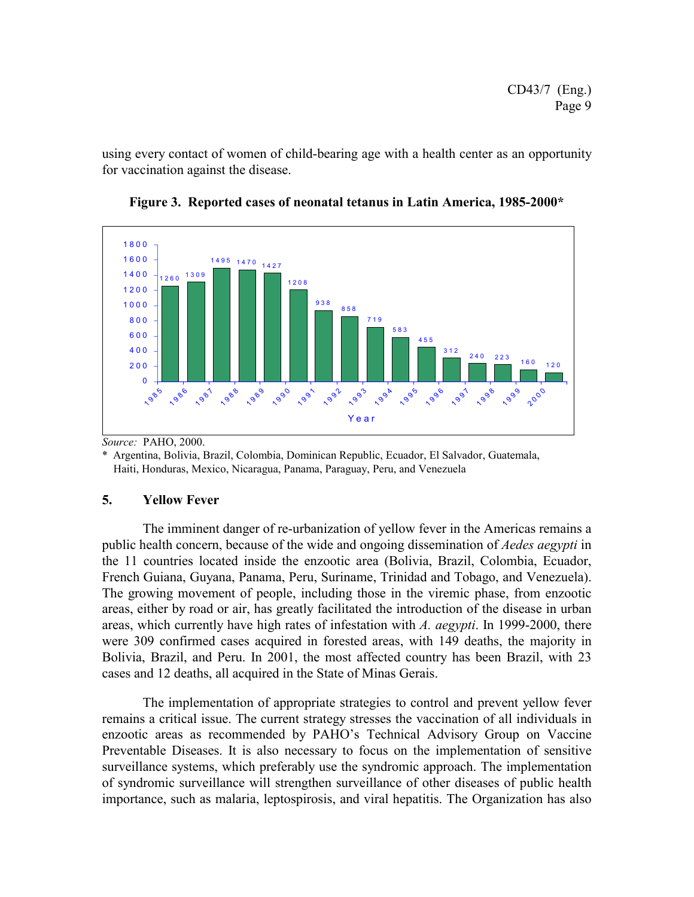using every contact of women of child-bearing age with a health center as an opportunity for vaccination against the disease.



**Figure 3. Reported cases of neonatal tetanus in Latin America, 1985-2000\***

*Source:* PAHO, 2000.

\* Argentina, Bolivia, Brazil, Colombia, Dominican Republic, Ecuador, El Salvador, Guatemala, Haiti, Honduras, Mexico, Nicaragua, Panama, Paraguay, Peru, and Venezuela

## **5. Yellow Fever**

The imminent danger of re-urbanization of yellow fever in the Americas remains a public health concern, because of the wide and ongoing dissemination of *Aedes aegypti* in the 11 countries located inside the enzootic area (Bolivia, Brazil, Colombia, Ecuador, French Guiana, Guyana, Panama, Peru, Suriname, Trinidad and Tobago, and Venezuela). The growing movement of people, including those in the viremic phase, from enzootic areas, either by road or air, has greatly facilitated the introduction of the disease in urban areas, which currently have high rates of infestation with *A. aegypti*. In 1999-2000, there were 309 confirmed cases acquired in forested areas, with 149 deaths, the majority in Bolivia, Brazil, and Peru. In 2001, the most affected country has been Brazil, with 23 cases and 12 deaths, all acquired in the State of Minas Gerais.

The implementation of appropriate strategies to control and prevent yellow fever remains a critical issue. The current strategy stresses the vaccination of all individuals in enzootic areas as recommended by PAHO's Technical Advisory Group on Vaccine Preventable Diseases. It is also necessary to focus on the implementation of sensitive surveillance systems, which preferably use the syndromic approach. The implementation of syndromic surveillance will strengthen surveillance of other diseases of public health importance, such as malaria, leptospirosis, and viral hepatitis. The Organization has also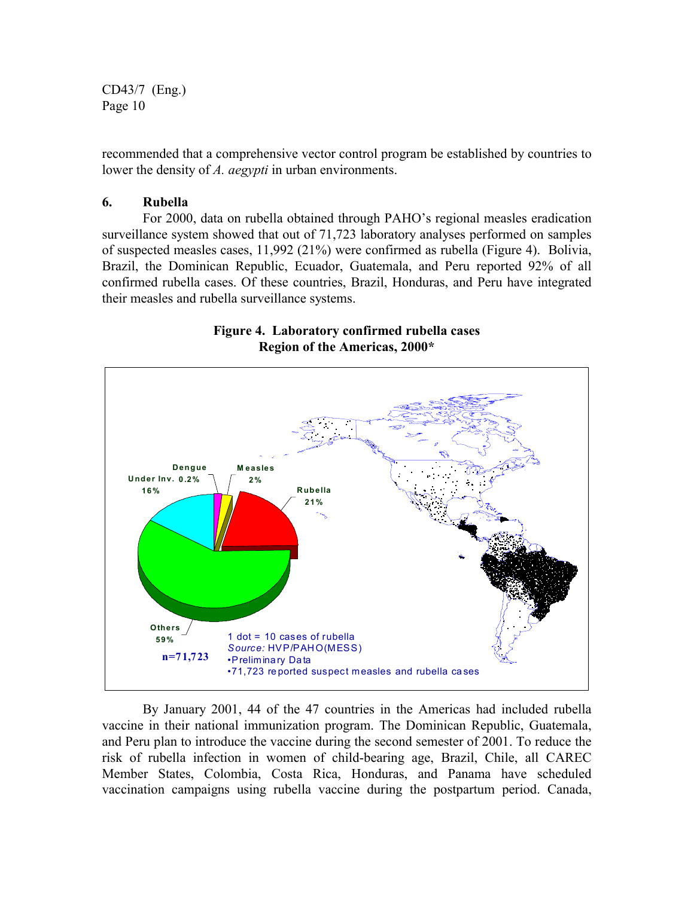recommended that a comprehensive vector control program be established by countries to lower the density of *A. aegypti* in urban environments.

#### **6. Rubella**

For 2000, data on rubella obtained through PAHO's regional measles eradication surveillance system showed that out of 71,723 laboratory analyses performed on samples of suspected measles cases, 11,992 (21%) were confirmed as rubella (Figure 4). Bolivia, Brazil, the Dominican Republic, Ecuador, Guatemala, and Peru reported 92% of all confirmed rubella cases. Of these countries, Brazil, Honduras, and Peru have integrated their measles and rubella surveillance systems.





By January 2001, 44 of the 47 countries in the Americas had included rubella vaccine in their national immunization program. The Dominican Republic, Guatemala, and Peru plan to introduce the vaccine during the second semester of 2001. To reduce the risk of rubella infection in women of child-bearing age, Brazil, Chile, all CAREC Member States, Colombia, Costa Rica, Honduras, and Panama have scheduled vaccination campaigns using rubella vaccine during the postpartum period. Canada,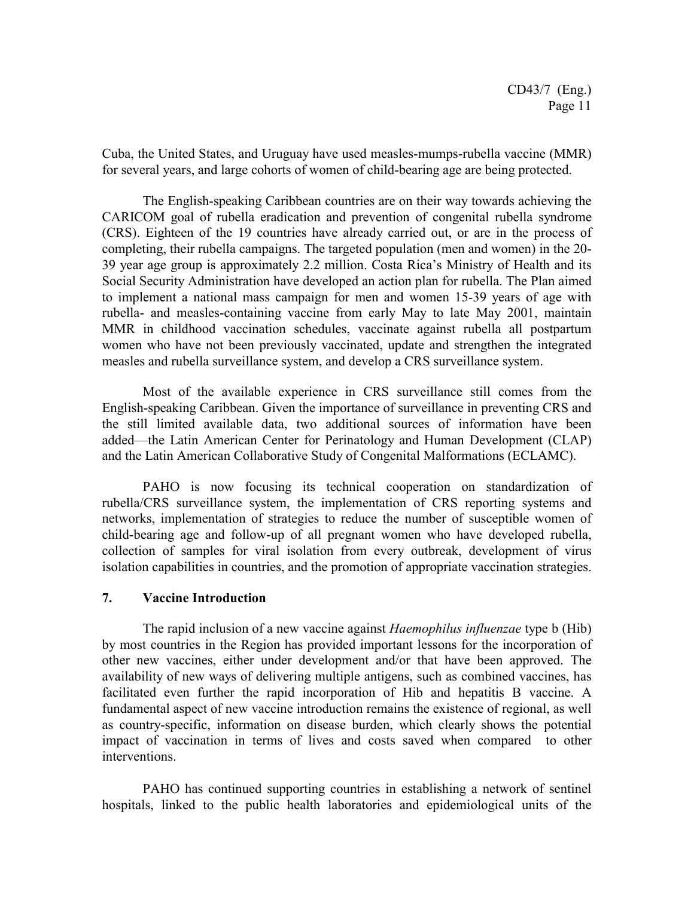Cuba, the United States, and Uruguay have used measles-mumps-rubella vaccine (MMR) for several years, and large cohorts of women of child-bearing age are being protected.

The English-speaking Caribbean countries are on their way towards achieving the CARICOM goal of rubella eradication and prevention of congenital rubella syndrome (CRS). Eighteen of the 19 countries have already carried out, or are in the process of completing, their rubella campaigns. The targeted population (men and women) in the 20- 39 year age group is approximately 2.2 million. Costa Rica's Ministry of Health and its Social Security Administration have developed an action plan for rubella. The Plan aimed to implement a national mass campaign for men and women 15-39 years of age with rubella- and measles-containing vaccine from early May to late May 2001, maintain MMR in childhood vaccination schedules, vaccinate against rubella all postpartum women who have not been previously vaccinated, update and strengthen the integrated measles and rubella surveillance system, and develop a CRS surveillance system.

Most of the available experience in CRS surveillance still comes from the English-speaking Caribbean. Given the importance of surveillance in preventing CRS and the still limited available data, two additional sources of information have been added—the Latin American Center for Perinatology and Human Development (CLAP) and the Latin American Collaborative Study of Congenital Malformations (ECLAMC).

PAHO is now focusing its technical cooperation on standardization of rubella/CRS surveillance system, the implementation of CRS reporting systems and networks, implementation of strategies to reduce the number of susceptible women of child-bearing age and follow-up of all pregnant women who have developed rubella, collection of samples for viral isolation from every outbreak, development of virus isolation capabilities in countries, and the promotion of appropriate vaccination strategies.

#### **7. Vaccine Introduction**

The rapid inclusion of a new vaccine against *Haemophilus influenzae* type b (Hib) by most countries in the Region has provided important lessons for the incorporation of other new vaccines, either under development and/or that have been approved. The availability of new ways of delivering multiple antigens, such as combined vaccines, has facilitated even further the rapid incorporation of Hib and hepatitis B vaccine. A fundamental aspect of new vaccine introduction remains the existence of regional, as well as country-specific, information on disease burden, which clearly shows the potential impact of vaccination in terms of lives and costs saved when compared to other interventions.

PAHO has continued supporting countries in establishing a network of sentinel hospitals, linked to the public health laboratories and epidemiological units of the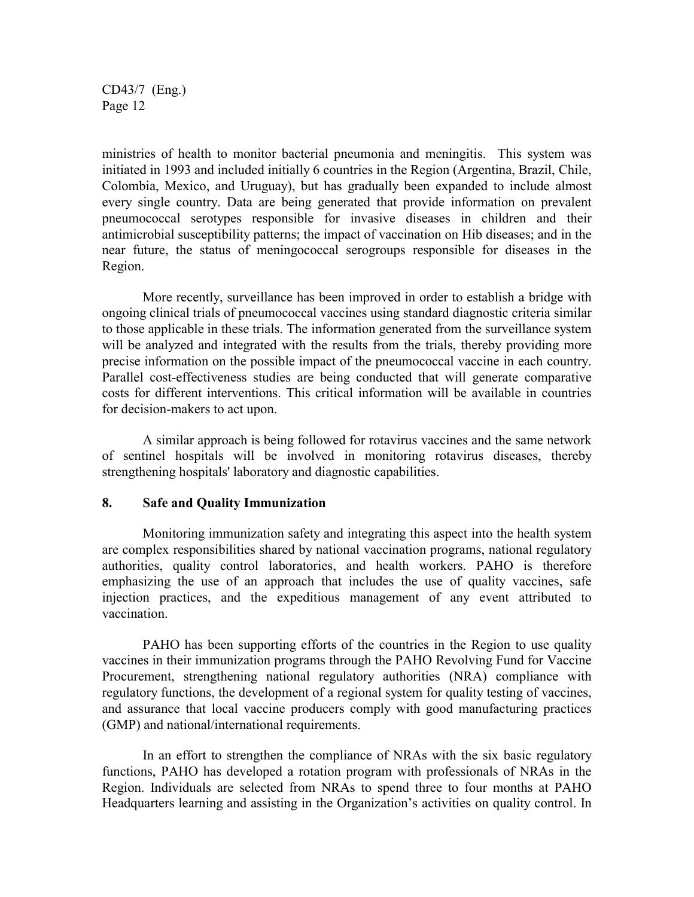ministries of health to monitor bacterial pneumonia and meningitis. This system was initiated in 1993 and included initially 6 countries in the Region (Argentina, Brazil, Chile, Colombia, Mexico, and Uruguay), but has gradually been expanded to include almost every single country. Data are being generated that provide information on prevalent pneumococcal serotypes responsible for invasive diseases in children and their antimicrobial susceptibility patterns; the impact of vaccination on Hib diseases; and in the near future, the status of meningococcal serogroups responsible for diseases in the Region.

More recently, surveillance has been improved in order to establish a bridge with ongoing clinical trials of pneumococcal vaccines using standard diagnostic criteria similar to those applicable in these trials. The information generated from the surveillance system will be analyzed and integrated with the results from the trials, thereby providing more precise information on the possible impact of the pneumococcal vaccine in each country. Parallel cost-effectiveness studies are being conducted that will generate comparative costs for different interventions. This critical information will be available in countries for decision-makers to act upon.

A similar approach is being followed for rotavirus vaccines and the same network of sentinel hospitals will be involved in monitoring rotavirus diseases, thereby strengthening hospitals' laboratory and diagnostic capabilities.

#### **8. Safe and Quality Immunization**

Monitoring immunization safety and integrating this aspect into the health system are complex responsibilities shared by national vaccination programs, national regulatory authorities, quality control laboratories, and health workers. PAHO is therefore emphasizing the use of an approach that includes the use of quality vaccines, safe injection practices, and the expeditious management of any event attributed to vaccination.

PAHO has been supporting efforts of the countries in the Region to use quality vaccines in their immunization programs through the PAHO Revolving Fund for Vaccine Procurement, strengthening national regulatory authorities (NRA) compliance with regulatory functions, the development of a regional system for quality testing of vaccines, and assurance that local vaccine producers comply with good manufacturing practices (GMP) and national/international requirements.

In an effort to strengthen the compliance of NRAs with the six basic regulatory functions, PAHO has developed a rotation program with professionals of NRAs in the Region. Individuals are selected from NRAs to spend three to four months at PAHO Headquarters learning and assisting in the Organization's activities on quality control. In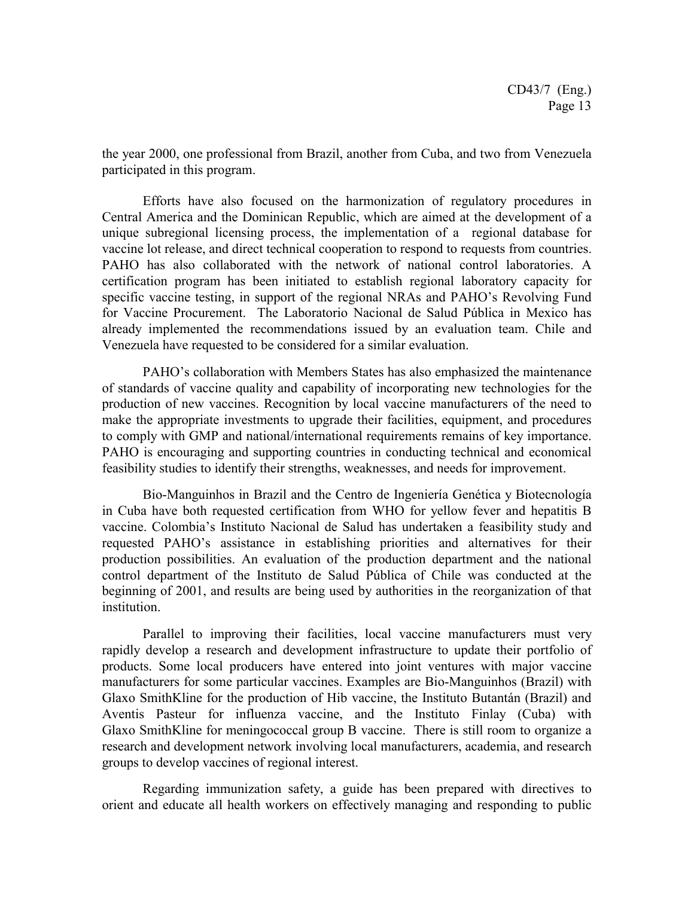the year 2000, one professional from Brazil, another from Cuba, and two from Venezuela participated in this program.

Efforts have also focused on the harmonization of regulatory procedures in Central America and the Dominican Republic, which are aimed at the development of a unique subregional licensing process, the implementation of a regional database for vaccine lot release, and direct technical cooperation to respond to requests from countries. PAHO has also collaborated with the network of national control laboratories. A certification program has been initiated to establish regional laboratory capacity for specific vaccine testing, in support of the regional NRAs and PAHO's Revolving Fund for Vaccine Procurement. The Laboratorio Nacional de Salud Pública in Mexico has already implemented the recommendations issued by an evaluation team. Chile and Venezuela have requested to be considered for a similar evaluation.

PAHO's collaboration with Members States has also emphasized the maintenance of standards of vaccine quality and capability of incorporating new technologies for the production of new vaccines. Recognition by local vaccine manufacturers of the need to make the appropriate investments to upgrade their facilities, equipment, and procedures to comply with GMP and national/international requirements remains of key importance. PAHO is encouraging and supporting countries in conducting technical and economical feasibility studies to identify their strengths, weaknesses, and needs for improvement.

Bio-Manguinhos in Brazil and the Centro de Ingeniería Genética y Biotecnología in Cuba have both requested certification from WHO for yellow fever and hepatitis B vaccine. Colombia's Instituto Nacional de Salud has undertaken a feasibility study and requested PAHO's assistance in establishing priorities and alternatives for their production possibilities. An evaluation of the production department and the national control department of the Instituto de Salud Pública of Chile was conducted at the beginning of 2001, and results are being used by authorities in the reorganization of that institution.

Parallel to improving their facilities, local vaccine manufacturers must very rapidly develop a research and development infrastructure to update their portfolio of products. Some local producers have entered into joint ventures with major vaccine manufacturers for some particular vaccines. Examples are Bio-Manguinhos (Brazil) with Glaxo SmithKline for the production of Hib vaccine, the Instituto Butantán (Brazil) and Aventis Pasteur for influenza vaccine, and the Instituto Finlay (Cuba) with Glaxo SmithKline for meningococcal group B vaccine. There is still room to organize a research and development network involving local manufacturers, academia, and research groups to develop vaccines of regional interest.

Regarding immunization safety, a guide has been prepared with directives to orient and educate all health workers on effectively managing and responding to public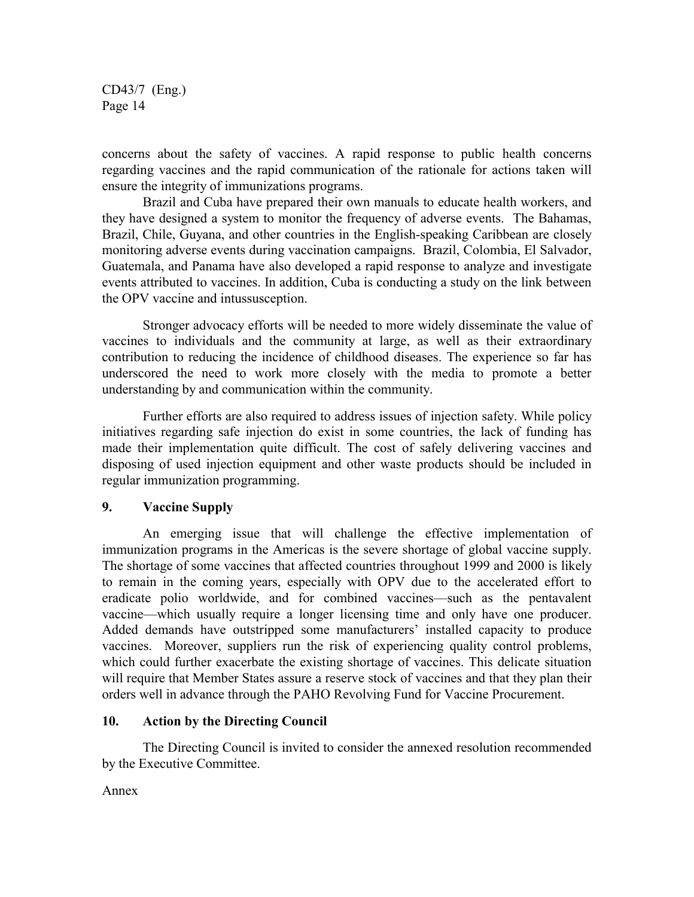concerns about the safety of vaccines. A rapid response to public health concerns regarding vaccines and the rapid communication of the rationale for actions taken will ensure the integrity of immunizations programs.

Brazil and Cuba have prepared their own manuals to educate health workers, and they have designed a system to monitor the frequency of adverse events. The Bahamas, Brazil, Chile, Guyana, and other countries in the English-speaking Caribbean are closely monitoring adverse events during vaccination campaigns. Brazil, Colombia, El Salvador, Guatemala, and Panama have also developed a rapid response to analyze and investigate events attributed to vaccines. In addition, Cuba is conducting a study on the link between the OPV vaccine and intussusception.

Stronger advocacy efforts will be needed to more widely disseminate the value of vaccines to individuals and the community at large, as well as their extraordinary contribution to reducing the incidence of childhood diseases. The experience so far has underscored the need to work more closely with the media to promote a better understanding by and communication within the community.

Further efforts are also required to address issues of injection safety. While policy initiatives regarding safe injection do exist in some countries, the lack of funding has made their implementation quite difficult. The cost of safely delivering vaccines and disposing of used injection equipment and other waste products should be included in regular immunization programming.

## **9. Vaccine Supply**

An emerging issue that will challenge the effective implementation of immunization programs in the Americas is the severe shortage of global vaccine supply. The shortage of some vaccines that affected countries throughout 1999 and 2000 is likely to remain in the coming years, especially with OPV due to the accelerated effort to eradicate polio worldwide, and for combined vaccines—such as the pentavalent vaccine—which usually require a longer licensing time and only have one producer. Added demands have outstripped some manufacturers' installed capacity to produce vaccines. Moreover, suppliers run the risk of experiencing quality control problems, which could further exacerbate the existing shortage of vaccines. This delicate situation will require that Member States assure a reserve stock of vaccines and that they plan their orders well in advance through the PAHO Revolving Fund for Vaccine Procurement.

#### **10. Action by the Directing Council**

The Directing Council is invited to consider the annexed resolution recommended by the Executive Committee.

#### Annex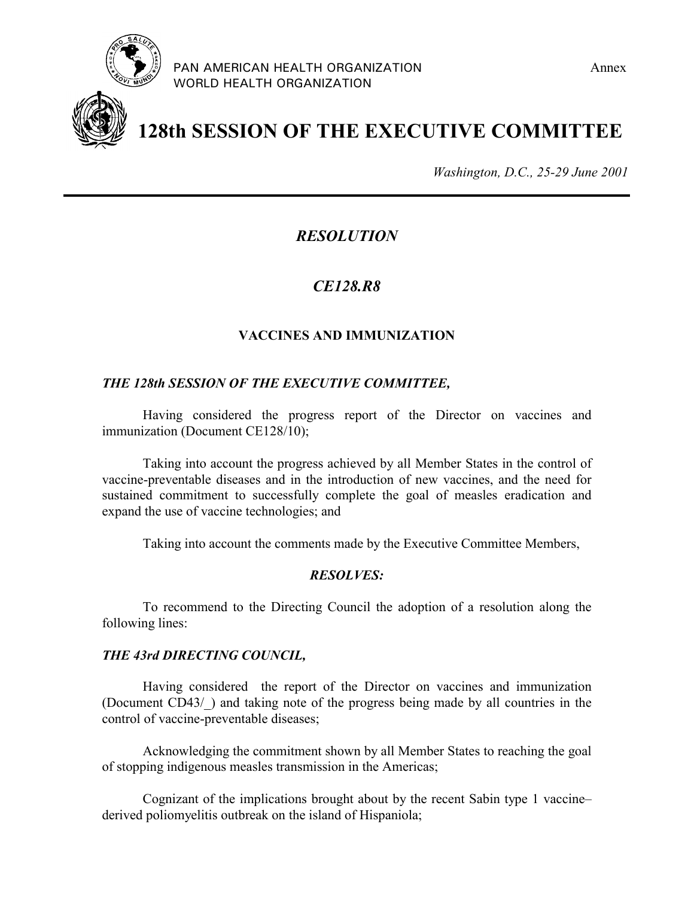



**128th SESSION OF THE EXECUTIVE COMMITTEE**

*Washington, D.C., 25-29 June 2001*

# *RESOLUTION*

# *CE128.R8*

# **VACCINES AND IMMUNIZATION**

#### *THE 128th SESSION OF THE EXECUTIVE COMMITTEE,*

Having considered the progress report of the Director on vaccines and immunization (Document CE128/10);

Taking into account the progress achieved by all Member States in the control of vaccine-preventable diseases and in the introduction of new vaccines, and the need for sustained commitment to successfully complete the goal of measles eradication and expand the use of vaccine technologies; and

Taking into account the comments made by the Executive Committee Members,

#### *RESOLVES:*

To recommend to the Directing Council the adoption of a resolution along the following lines:

#### *THE 43rd DIRECTING COUNCIL,*

Having considered the report of the Director on vaccines and immunization (Document CD43/\_) and taking note of the progress being made by all countries in the control of vaccine-preventable diseases;

Acknowledging the commitment shown by all Member States to reaching the goal of stopping indigenous measles transmission in the Americas;

Cognizant of the implications brought about by the recent Sabin type 1 vaccine– derived poliomyelitis outbreak on the island of Hispaniola;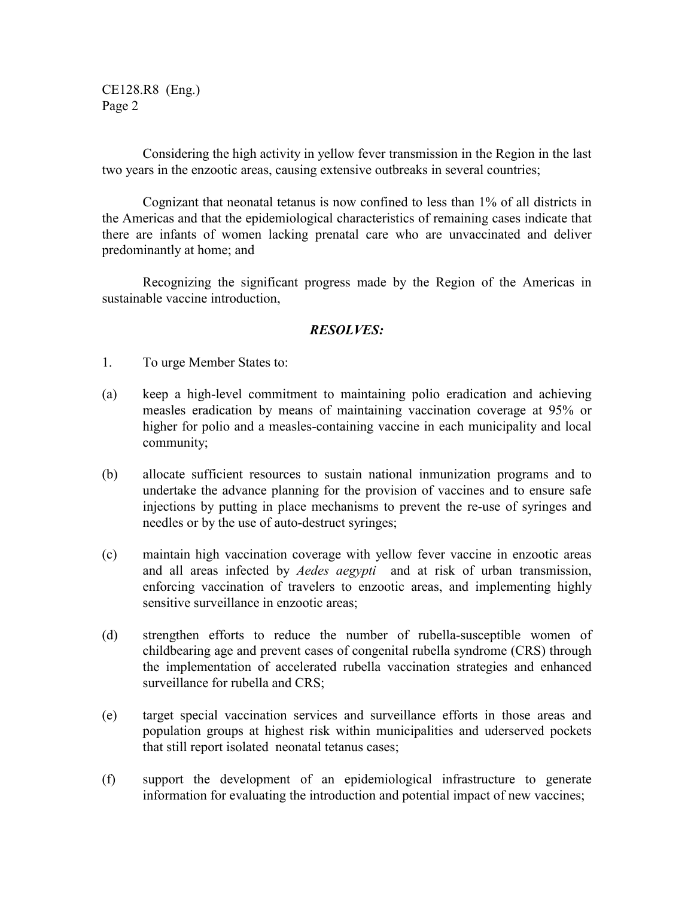CE128.R8 (Eng.) Page 2

Considering the high activity in yellow fever transmission in the Region in the last two years in the enzootic areas, causing extensive outbreaks in several countries;

Cognizant that neonatal tetanus is now confined to less than 1% of all districts in the Americas and that the epidemiological characteristics of remaining cases indicate that there are infants of women lacking prenatal care who are unvaccinated and deliver predominantly at home; and

Recognizing the significant progress made by the Region of the Americas in sustainable vaccine introduction,

#### *RESOLVES:*

- 1. To urge Member States to:
- (a) keep a high-level commitment to maintaining polio eradication and achieving measles eradication by means of maintaining vaccination coverage at 95% or higher for polio and a measles-containing vaccine in each municipality and local community;
- (b) allocate sufficient resources to sustain national inmunization programs and to undertake the advance planning for the provision of vaccines and to ensure safe injections by putting in place mechanisms to prevent the re-use of syringes and needles or by the use of auto-destruct syringes;
- (c) maintain high vaccination coverage with yellow fever vaccine in enzootic areas and all areas infected by *Aedes aegypti* and at risk of urban transmission, enforcing vaccination of travelers to enzootic areas, and implementing highly sensitive surveillance in enzootic areas;
- (d) strengthen efforts to reduce the number of rubella-susceptible women of childbearing age and prevent cases of congenital rubella syndrome (CRS) through the implementation of accelerated rubella vaccination strategies and enhanced surveillance for rubella and CRS;
- (e) target special vaccination services and surveillance efforts in those areas and population groups at highest risk within municipalities and uderserved pockets that still report isolated neonatal tetanus cases;
- (f) support the development of an epidemiological infrastructure to generate information for evaluating the introduction and potential impact of new vaccines;